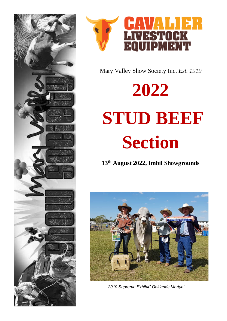



Mary Valley Show Society Inc. Est. 1919

# 2022 STUD BEEF **Section**

13th August 2022, Imbil Showgrounds



2019 Supreme Exhibit" Oaklands Martyn"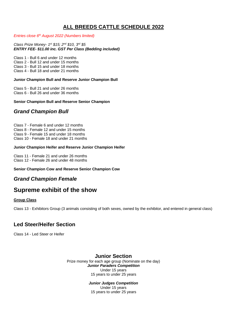# **ALL BREEDS CATTLE SCHEDULE 2022**

*Entries close 6 th August 2022 (Numbers limited)*

*Class Prize Money- 1 st \$15; 2nd \$10, 3rd \$5 ENTRY FEE- \$11.00 inc. GST Per Class (Bedding included)* 

Class 1 - Bull 6 and under 12 months

Class 2 - Bull 12 and under 15 months

Class 3 - Bull 15 and under 18 months

Class 4 - Bull 18 and under 21 months

#### **Junior Champion Bull and Reserve Junior Champion Bull**

Class 5 - Bull 21 and under 26 months Class 6 - Bull 26 and under 36 months

## **Senior Champion Bull and Reserve Senior Champion**

## *Grand Champion Bull*

Class 7 - Female 6 and under 12 months Class 8 - Female 12 and under 15 months Class 9 - Female 15 and under 18 months Class 10 - Female 18 and under 21 months

## **Junior Champion Heifer and Reserve Junior Champion Heifer**

Class 11 - Female 21 and under 26 months Class 12 - Female 26 and under 48 months

## **Senior Champion Cow and Reserve Senior Champion Cow**

## *Grand Champion Female*

# **Supreme exhibit of the show**

## **Group Class**

Class 13 - Exhibitors Group (3 animals consisting of both sexes, owned by the exhibitor, and entered in general class)

## **Led Steer/Heifer Section**

Class 14 - Led Steer or Heifer

## **Junior Section**

Prize money for each age group (Nominate on the day) *Junior Paraders Competition* Under 15 years 15 years to under 25 years

*Junior Judges Competition*

Under 15 years 15 years to under 25 years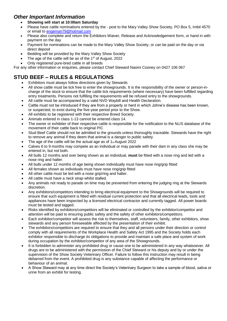## *Other Important Information*

- **Showing will start at 10:00am Saturday**
- Please have cattle nominations entered by the post to the Mary Valley Show Society, PO Box 5, Imbil 4570 or email to [engeman79@hotmail.com](mailto:engeman79@hotmail.com.)
- Please also complete and return the Exhibitors Waiver, Release and Acknowledgement form, or hand in with payment on the day
- Payment for nominations can be made to the Mary Valley Show Society, or can be paid on the day or via direct deposit
- Bedding will be provided by the Mary Valley Show Society
- The age of the cattle will be as of the  $1<sup>st</sup>$  of August, 2022
- Only registered pure-bred cattle in all breeds

For any other information or enquiries, please contact Chief Steward Naomi Cooney on 0427 106 067

# **STUD BEEF – RULES & REGULATIONS**

- Exhibitors must always follow directions given by Stewards
- All show cattle must be tick free to enter the showgrounds. It is the responsibility of the owner or person-incharge of the stock to ensure that the cattle tick requirements (where necessary) have been fulfilled regarding entry treatments. Persons not fulfilling the requirements will be refused entry to the showgrounds.
- All cattle must be accompanied by a valid NVD Waybill and Health Declaration.
- Cattle must not be introduced if they are from a property or herd in which Johne's disease has been known, or suspected, to exist during the five-year period prior to the Show.
- All exhibits to be registered with their respective Breed Society.
- Animals entered in class 1-13 cannot be entered class 14.
- The owner or exhibiter of their respective cattle is responsible for the notification to the NLIS database of the movement of their cattle back to original PIC
- Stud Beef Cattle should not be admitted to the grounds unless thoroughly traceable. Stewards have the right to remove any animal if they deem that animal is a danger to public safety.
- The age of the cattle will be the actual age as of 1<sup>st</sup> August 2022
- Calves 6 to 9 months may compete as an individual or may parade with their dam in any class she may be entered in, but not both.
- All bulls 12 months and over being shown as an individual, **must** be fitted with a nose ring and led with a nose ring and halter.
- All bulls under 12 months of age being shown individually must have nose ring/grip fitted
- All females shown as individuals must have nose ring/grip fitted
- All other cattle must be led with a nose grip/ring and halter.
- All cattle must have a neck strap whilst stalled.
- Any animals not ready to parade on time may be prevented from entering the judging ring at the Stewards discretion.
- Any exhibitors/competitors intending to bring electrical equipment to the Showgrounds will be required to ensure that such equipment is fitted with residual current protection and that all electrical leads, tools and appliances have been inspected by a licensed electrical contractor and currently tagged. All power boards must be tested and tagged.
- Risks identified by exhibitors/competitors will be eliminated or controlled by the exhibitor/competitor and attention will be paid to ensuring public safety and the safety of other exhibitors/competitors.
- Each exhibitor/competitor will assess the risk to themselves, staff, volunteers, family, other exhibitors, show stewards and any person foreseeable affected by the presentation of their exhibit.
- The exhibitors/competitors are required to ensure that they and all persons under their direction or control comply with all requirements of the Workplace Health and Safety Act 1995 and the Society holds each exhibitor responsible to discharge its obligations to provide and maintain a safe place and system of work during occupation by the exhibitor/competitor of any area of the Showgrounds.
- It is forbidden to administer any prohibited drug or cause one to be administered in any way whatsoever. All drugs are to be administered with the permission of the Chief Steward or his deputy and by or under the supervision of the Show Society Veterinary Officer. Failure to follow this instruction may result in being debarred from the event. A prohibited drug is any substance capable of affecting the performance or behaviour of an animal.
- A Show Steward may at any time direct the Society's Veterinary Surgeon to take a sample of blood, saliva or urine from an exhibit for testing.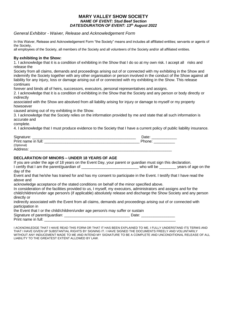#### **MARY VALLEY SHOW SOCIETY** *NAME OF EVENT: Stud Beef Section DATES/DURATION OF EVENT: 13th August 2022*

## *General Exhibitor - Waiver, Release and Acknowledgement Form*

In this Waiver, Release and Acknowledgement Form "the Society" means and includes all affiliated entities; servants or agents of the Society,

all employees of the Society, all members of the Society and all volunteers of the Society and/or all affiliated entities.

#### **By exhibiting in the Show:**

1. I acknowledge that it is a condition of exhibiting in the Show that I do so at my own risk. I accept all risks and release the

Society from all claims, demands and proceedings arising out of or connected with my exhibiting in the Show and indemnify the Society together with any other organisation or person involved in the conduct of the Show against all liability for any injury, loss or damage arising out of or connected with my exhibiting in the Show. This release continues

forever and binds all of heirs, successors, executors, personal representatives and assigns.

2. I acknowledge that it is a condition of exhibiting in the Show that the Society and any person or body directly or indirectly

associated with the Show are absolved from all liability arising for injury or damage to myself or my property howsoever

caused arising out of my exhibiting in the Show.

3. I acknowledge that the Society relies on the information provided by me and state that all such information is accurate and

complete.

4. I acknowledge that I must produce evidence to the Society that I have a current policy of public liability insurance.

| Signature:          | Date:  |
|---------------------|--------|
| Print name in full: | Phone: |
| (Optional)          |        |
| Address:            |        |

## **DECLARATION OF MINORS – UNDER 18 YEARS OF AGE**

If you are under the age of 18 years on the Event Day, your parent or guardian must sign this declaration. I certify that I am the parent/guardian of the state of the state of the state of the state of the state of the

day of the Event and that he/she has trained for and has my consent to participate in the Event. I testify that I have read the above and

acknowledge acceptance of the stated conditions on behalf of the minor specified above.

In consideration of the facilities provided to us, I myself, my executors, administrators and assigns and for the child/children/under age person/s (if applicable) absolutely release and discharge the Show Society and any person directly or

indirectly associated with the Event from all claims, demands and proceedings arising out of or connected with participation in

the Event that I or the child/children/under age person/s may suffer or sustain

| Signature of parent/guardian: |  |
|-------------------------------|--|
| Print name in full:           |  |

I ACKNOWLEDGE THAT I HAVE READ THIS FORM OR THAT IT HAS BEEN EXPLAINED TO ME. I FULLY UNDERSTAND ITS TERMS AND THAT I HAVE GIVEN UP SUBSTANTIAL RIGHTS BY SIGNING IT. I HAVE SIGNED THE DOCUMENTS FREELY AND VOLUNTARILY WITHOUT ANY INDUCEMENT MADE TO ME AND INTEND MY SIGNATURE TO BE A COMPLETE AND UNCONDITIONAL RELEASE OF ALL LIABILITY TO THE GREATEST EXTENT ALLOWED BY LAW.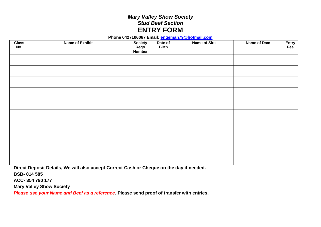# *Mary Valley Show Society Stud Beef Section* **ENTRY FORM**

**Phone 0427106067 Email: engeman79@hotmail.com**

| <b>Class</b><br>No. | <b>Name of Exhibit</b> | <b>Society</b><br>Rego<br>Number | Date of<br><b>Birth</b> | Name of Sire | Name of Dam | Entry<br>Fee |
|---------------------|------------------------|----------------------------------|-------------------------|--------------|-------------|--------------|
|                     |                        |                                  |                         |              |             |              |
|                     |                        |                                  |                         |              |             |              |
|                     |                        |                                  |                         |              |             |              |
|                     |                        |                                  |                         |              |             |              |
|                     |                        |                                  |                         |              |             |              |
|                     |                        |                                  |                         |              |             |              |
|                     |                        |                                  |                         |              |             |              |
|                     |                        |                                  |                         |              |             |              |
|                     |                        |                                  |                         |              |             |              |
|                     |                        |                                  |                         |              |             |              |

**Direct Deposit Details, We will also accept Correct Cash or Cheque on the day if needed.** 

**BSB- 014 585**

**ACC- 354 790 177**

**Mary Valley Show Society** 

*Please use your Name and Beef as a reference***. Please send proof of transfer with entries.**